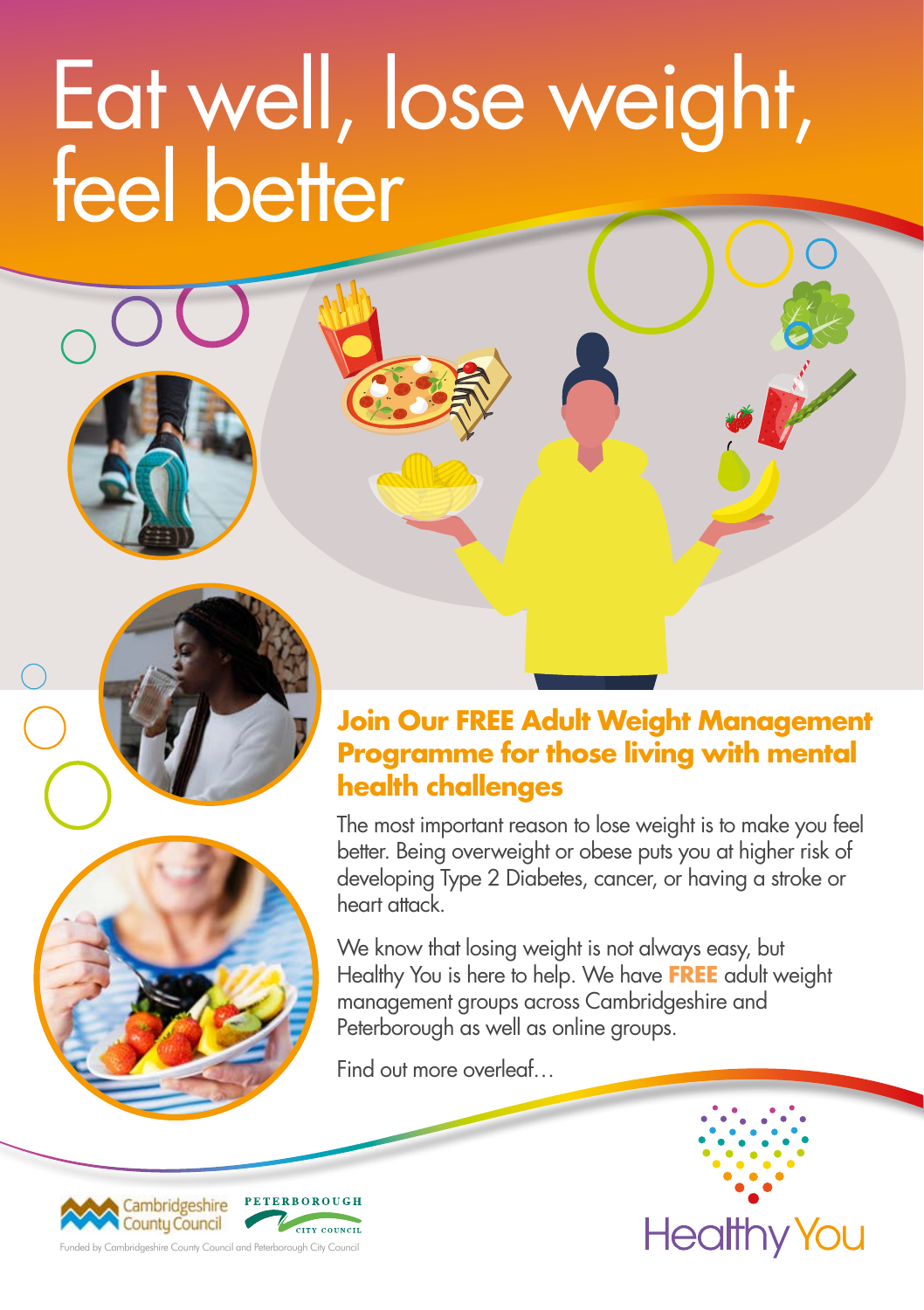# Eat well, lose weight, feel better





#### **Join Our FREE Adult Weight Management Programme for those living with mental health challenges**

The most important reason to lose weight is to make you feel better. Being overweight or obese puts you at higher risk of developing Type 2 Diabetes, cancer, or having a stroke or heart attack.

We know that losing weight is not always easy, but Healthy You is here to help. We have **FREE** adult weight management groups across Cambridgeshire and Peterborough as well as online groups.

Find out more overleaf…